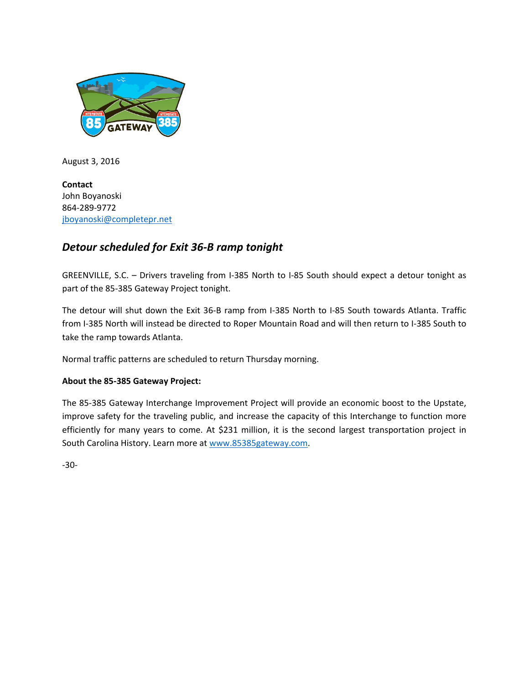

August 3, 2016

**Contact** John Boyanoski 864-289-9772 [jboyanoski@completepr.net](mailto:jboyanoski@completepr.net)

## *Detour scheduled for Exit 36-B ramp tonight*

GREENVILLE, S.C. – Drivers traveling from I-385 North to I-85 South should expect a detour tonight as part of the 85-385 Gateway Project tonight.

The detour will shut down the Exit 36-B ramp from I-385 North to I-85 South towards Atlanta. Traffic from I-385 North will instead be directed to Roper Mountain Road and will then return to I-385 South to take the ramp towards Atlanta.

Normal traffic patterns are scheduled to return Thursday morning.

### **About the 85-385 Gateway Project:**

The 85-385 Gateway Interchange Improvement Project will provide an economic boost to the Upstate, improve safety for the traveling public, and increase the capacity of this Interchange to function more efficiently for many years to come. At \$231 million, it is the second largest transportation project in South Carolina History. Learn more at [www.85385gateway.com.](http://www.85385gateway.com/)

-30-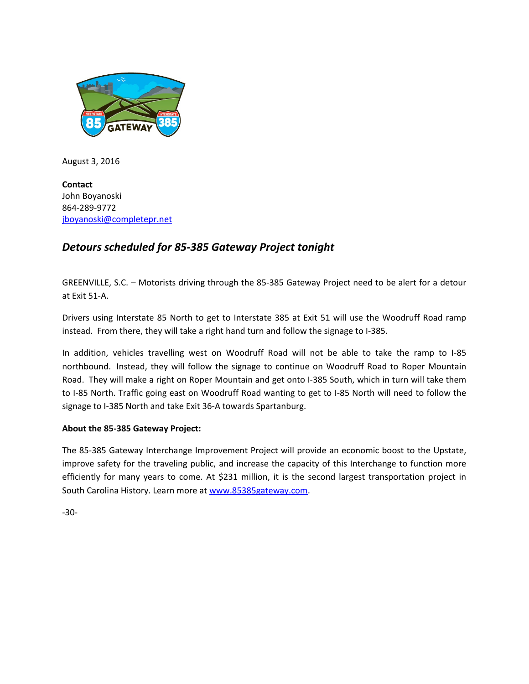

August 3, 2016

**Contact** John Boyanoski 864-289-9772 [jboyanoski@completepr.net](mailto:jboyanoski@completepr.net)

# *Detours scheduled for 85-385 Gateway Project tonight*

GREENVILLE, S.C. – Motorists driving through the 85-385 Gateway Project need to be alert for a detour at Exit 51-A.

Drivers using Interstate 85 North to get to Interstate 385 at Exit 51 will use the Woodruff Road ramp instead. From there, they will take a right hand turn and follow the signage to I-385.

In addition, vehicles travelling west on Woodruff Road will not be able to take the ramp to I-85 northbound. Instead, they will follow the signage to continue on Woodruff Road to Roper Mountain Road. They will make a right on Roper Mountain and get onto I-385 South, which in turn will take them to I-85 North. Traffic going east on Woodruff Road wanting to get to I-85 North will need to follow the signage to I-385 North and take Exit 36-A towards Spartanburg.

### **About the 85-385 Gateway Project:**

The 85-385 Gateway Interchange Improvement Project will provide an economic boost to the Upstate, improve safety for the traveling public, and increase the capacity of this Interchange to function more efficiently for many years to come. At \$231 million, it is the second largest transportation project in South Carolina History. Learn more at [www.85385gateway.com.](http://www.85385gateway.com/)

-30-